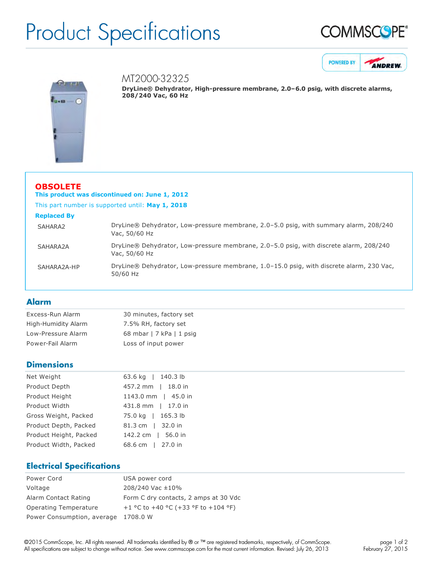## Product Specifications







MT2000-32325

DryLine® Dehydrator, High-pressure membrane, 2.0–6.0 psig, with discrete alarms, **208/240 Vac, 60 Hz**

#### **OBSOLETE**

**This product was discontinued on: June 1, 2012**

This part number is supported until: **May 1, 2018**

#### **Replaced By**

| SAHARA2     | DryLine® Dehydrator, Low-pressure membrane, 2.0-5.0 psig, with summary alarm, 208/240<br>Vac, 50/60 Hz  |
|-------------|---------------------------------------------------------------------------------------------------------|
| SAHARA2A    | DryLine® Dehydrator, Low-pressure membrane, 2.0-5.0 psig, with discrete alarm, 208/240<br>Vac, 50/60 Hz |
| SAHARA2A-HP | DryLine® Dehydrator, Low-pressure membrane, 1.0-15.0 psig, with discrete alarm, 230 Vac,<br>50/60 Hz    |

#### **Alarm**

| Excess-Run Alarm    | 30 minutes, factory set  |  |
|---------------------|--------------------------|--|
| High-Humidity Alarm | 7.5% RH, factory set     |  |
| Low-Pressure Alarm  | 68 mbar   7 kPa   1 psig |  |
| Power-Fail Alarm    | Loss of input power      |  |

### **Dimensions**

| Net Weight             | 63.6 kg   140.3 lb  |
|------------------------|---------------------|
| Product Depth          | 457.2 mm   18.0 in  |
| Product Height         | 1143.0 mm   45.0 in |
| Product Width          | 431.8 mm   17.0 in  |
| Gross Weight, Packed   | 75.0 kg   165.3 lb  |
| Product Depth, Packed  | 81.3 cm   32.0 in   |
| Product Height, Packed | 142.2 cm   56.0 in  |
| Product Width, Packed  | 68.6 cm   27.0 in   |

### **Electrical Specifications**

| Power Cord                 | USA power cord                        |
|----------------------------|---------------------------------------|
| Voltage                    | 208/240 Vac ±10%                      |
| Alarm Contact Rating       | Form C dry contacts, 2 amps at 30 Vdc |
| Operating Temperature      | +1 °C to +40 °C (+33 °F to +104 °F)   |
| Power Consumption, average | 1708.0 W                              |